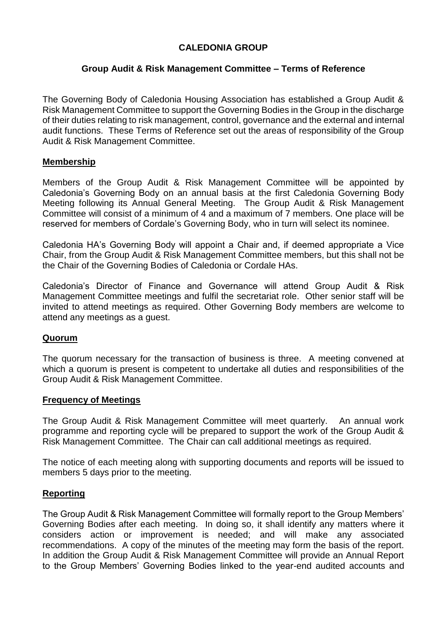### **CALEDONIA GROUP**

#### **Group Audit & Risk Management Committee – Terms of Reference**

The Governing Body of Caledonia Housing Association has established a Group Audit & Risk Management Committee to support the Governing Bodies in the Group in the discharge of their duties relating to risk management, control, governance and the external and internal audit functions. These Terms of Reference set out the areas of responsibility of the Group Audit & Risk Management Committee.

#### **Membership**

Members of the Group Audit & Risk Management Committee will be appointed by Caledonia's Governing Body on an annual basis at the first Caledonia Governing Body Meeting following its Annual General Meeting. The Group Audit & Risk Management Committee will consist of a minimum of 4 and a maximum of 7 members. One place will be reserved for members of Cordale's Governing Body, who in turn will select its nominee.

Caledonia HA's Governing Body will appoint a Chair and, if deemed appropriate a Vice Chair, from the Group Audit & Risk Management Committee members, but this shall not be the Chair of the Governing Bodies of Caledonia or Cordale HAs.

Caledonia's Director of Finance and Governance will attend Group Audit & Risk Management Committee meetings and fulfil the secretariat role. Other senior staff will be invited to attend meetings as required. Other Governing Body members are welcome to attend any meetings as a guest.

#### **Quorum**

The quorum necessary for the transaction of business is three. A meeting convened at which a quorum is present is competent to undertake all duties and responsibilities of the Group Audit & Risk Management Committee.

#### **Frequency of Meetings**

The Group Audit & Risk Management Committee will meet quarterly. An annual work programme and reporting cycle will be prepared to support the work of the Group Audit & Risk Management Committee. The Chair can call additional meetings as required.

The notice of each meeting along with supporting documents and reports will be issued to members 5 days prior to the meeting.

#### **Reporting**

The Group Audit & Risk Management Committee will formally report to the Group Members' Governing Bodies after each meeting. In doing so, it shall identify any matters where it considers action or improvement is needed; and will make any associated recommendations. A copy of the minutes of the meeting may form the basis of the report. In addition the Group Audit & Risk Management Committee will provide an Annual Report to the Group Members' Governing Bodies linked to the year-end audited accounts and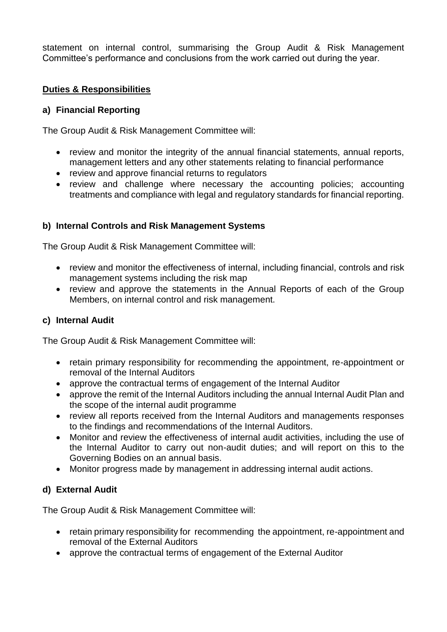statement on internal control, summarising the Group Audit & Risk Management Committee's performance and conclusions from the work carried out during the year.

# **Duties & Responsibilities**

# **a) Financial Reporting**

The Group Audit & Risk Management Committee will:

- review and monitor the integrity of the annual financial statements, annual reports, management letters and any other statements relating to financial performance
- review and approve financial returns to regulators
- review and challenge where necessary the accounting policies; accounting treatments and compliance with legal and regulatory standards for financial reporting.

# **b) Internal Controls and Risk Management Systems**

The Group Audit & Risk Management Committee will:

- review and monitor the effectiveness of internal, including financial, controls and risk management systems including the risk map
- review and approve the statements in the Annual Reports of each of the Group Members, on internal control and risk management.

# **c) Internal Audit**

The Group Audit & Risk Management Committee will:

- retain primary responsibility for recommending the appointment, re-appointment or removal of the Internal Auditors
- approve the contractual terms of engagement of the Internal Auditor
- approve the remit of the Internal Auditors including the annual Internal Audit Plan and the scope of the internal audit programme
- review all reports received from the Internal Auditors and managements responses to the findings and recommendations of the Internal Auditors.
- Monitor and review the effectiveness of internal audit activities, including the use of the Internal Auditor to carry out non-audit duties; and will report on this to the Governing Bodies on an annual basis.
- Monitor progress made by management in addressing internal audit actions.

# **d) External Audit**

The Group Audit & Risk Management Committee will:

- retain primary responsibility for recommending the appointment, re-appointment and removal of the External Auditors
- approve the contractual terms of engagement of the External Auditor